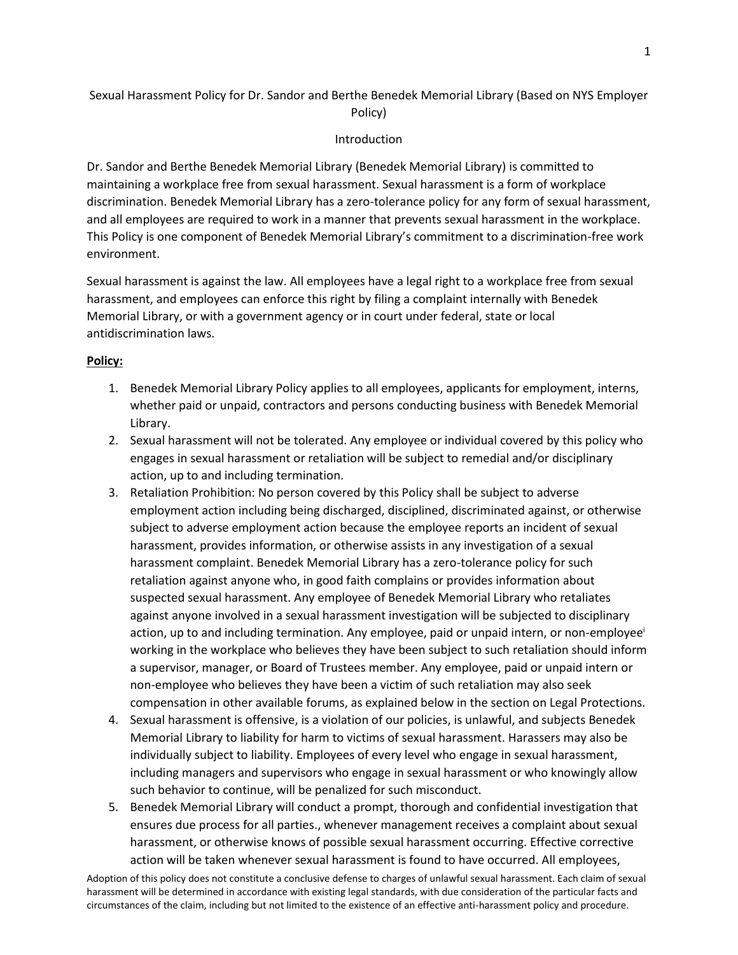#### Introduction

Dr. Sandor and Berthe Benedek Memorial Library (Benedek Memorial Library) is committed to maintaining a workplace free from sexual harassment. Sexual harassment is a form of workplace discrimination. Benedek Memorial Library has a zero-tolerance policy for any form of sexual harassment, and all employees are required to work in a manner that prevents sexual harassment in the workplace. This Policy is one component of Benedek Memorial Library's commitment to a discrimination-free work environment.

Sexual harassment is against the law. All employees have a legal right to a workplace free from sexual harassment, and employees can enforce this right by filing a complaint internally with Benedek Memorial Library, or with a government agency or in court under federal, state or local antidiscrimination laws.

### **Policy:**

- 1. Benedek Memorial Library Policy applies to all employees, applicants for employment, interns, whether paid or unpaid, contractors and persons conducting business with Benedek Memorial Library.
- 2. Sexual harassment will not be tolerated. Any employee or individual covered by this policy who engages in sexual harassment or retaliation will be subject to remedial and/or disciplinary action, up to and including termination.
- 3. Retaliation Prohibition: No person covered by this Policy shall be subject to adverse employment action including being discharged, disciplined, discriminated against, or otherwise subject to adverse employment action because the employee reports an incident of sexual harassment, provides information, or otherwise assists in any investigation of a sexual harassment complaint. Benedek Memorial Library has a zero-tolerance policy for such retaliation against anyone who, in good faith complains or provides information about suspected sexual harassment. Any employee of Benedek Memorial Library who retaliates against anyone involved in a sexual harassment investigation will be subjected to disciplinary action, up to and including termination. Any employee, paid or unpaid intern, or non-employee<sup>i</sup> working in the workplace who believes they have been subject to such retaliation should inform a supervisor, manager, or Board of Trustees member. Any employee, paid or unpaid intern or non-employee who believes they have been a victim of such retaliation may also seek compensation in other available forums, as explained below in the section on Legal Protections.
- 4. Sexual harassment is offensive, is a violation of our policies, is unlawful, and subjects Benedek Memorial Library to liability for harm to victims of sexual harassment. Harassers may also be individually subject to liability. Employees of every level who engage in sexual harassment, including managers and supervisors who engage in sexual harassment or who knowingly allow such behavior to continue, will be penalized for such misconduct.
- 5. Benedek Memorial Library will conduct a prompt, thorough and confidential investigation that ensures due process for all parties., whenever management receives a complaint about sexual harassment, or otherwise knows of possible sexual harassment occurring. Effective corrective action will be taken whenever sexual harassment is found to have occurred. All employees,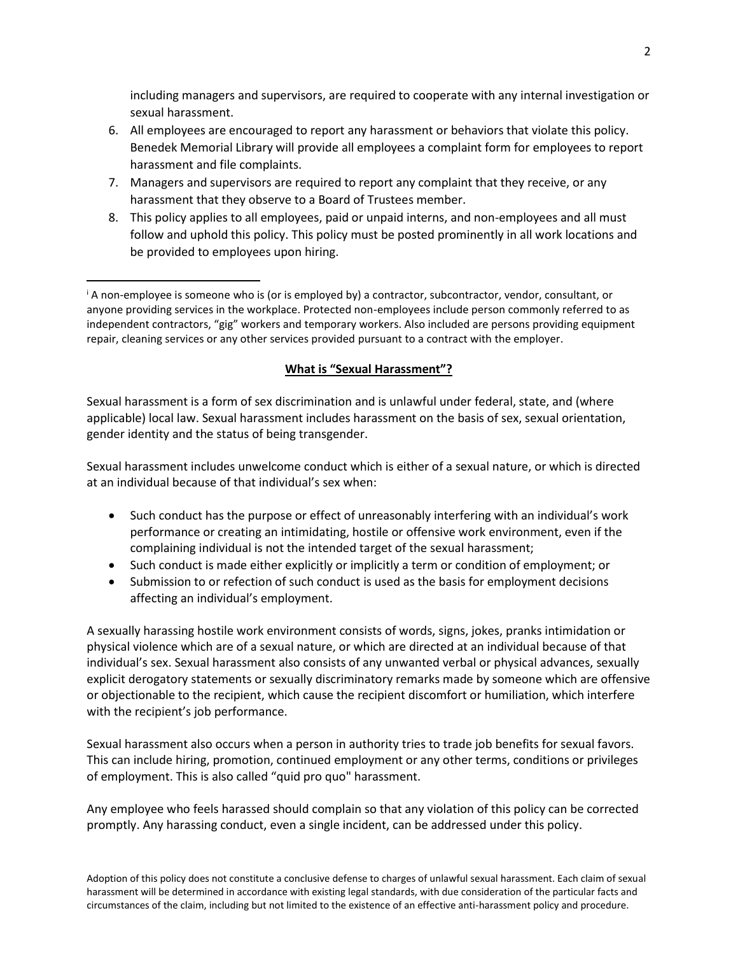including managers and supervisors, are required to cooperate with any internal investigation or sexual harassment.

- 6. All employees are encouraged to report any harassment or behaviors that violate this policy. Benedek Memorial Library will provide all employees a complaint form for employees to report harassment and file complaints.
- 7. Managers and supervisors are required to report any complaint that they receive, or any harassment that they observe to a Board of Trustees member.
- 8. This policy applies to all employees, paid or unpaid interns, and non-employees and all must follow and uphold this policy. This policy must be posted prominently in all work locations and be provided to employees upon hiring.

 $\overline{\phantom{a}}$ 

## **What is "Sexual Harassment"?**

Sexual harassment is a form of sex discrimination and is unlawful under federal, state, and (where applicable) local law. Sexual harassment includes harassment on the basis of sex, sexual orientation, gender identity and the status of being transgender.

Sexual harassment includes unwelcome conduct which is either of a sexual nature, or which is directed at an individual because of that individual's sex when:

- Such conduct has the purpose or effect of unreasonably interfering with an individual's work performance or creating an intimidating, hostile or offensive work environment, even if the complaining individual is not the intended target of the sexual harassment;
- Such conduct is made either explicitly or implicitly a term or condition of employment; or
- Submission to or refection of such conduct is used as the basis for employment decisions affecting an individual's employment.

A sexually harassing hostile work environment consists of words, signs, jokes, pranks intimidation or physical violence which are of a sexual nature, or which are directed at an individual because of that individual's sex. Sexual harassment also consists of any unwanted verbal or physical advances, sexually explicit derogatory statements or sexually discriminatory remarks made by someone which are offensive or objectionable to the recipient, which cause the recipient discomfort or humiliation, which interfere with the recipient's job performance.

Sexual harassment also occurs when a person in authority tries to trade job benefits for sexual favors. This can include hiring, promotion, continued employment or any other terms, conditions or privileges of employment. This is also called "quid pro quo" harassment.

Any employee who feels harassed should complain so that any violation of this policy can be corrected promptly. Any harassing conduct, even a single incident, can be addressed under this policy.

<sup>i</sup> A non-employee is someone who is (or is employed by) a contractor, subcontractor, vendor, consultant, or anyone providing services in the workplace. Protected non-employees include person commonly referred to as independent contractors, "gig" workers and temporary workers. Also included are persons providing equipment repair, cleaning services or any other services provided pursuant to a contract with the employer.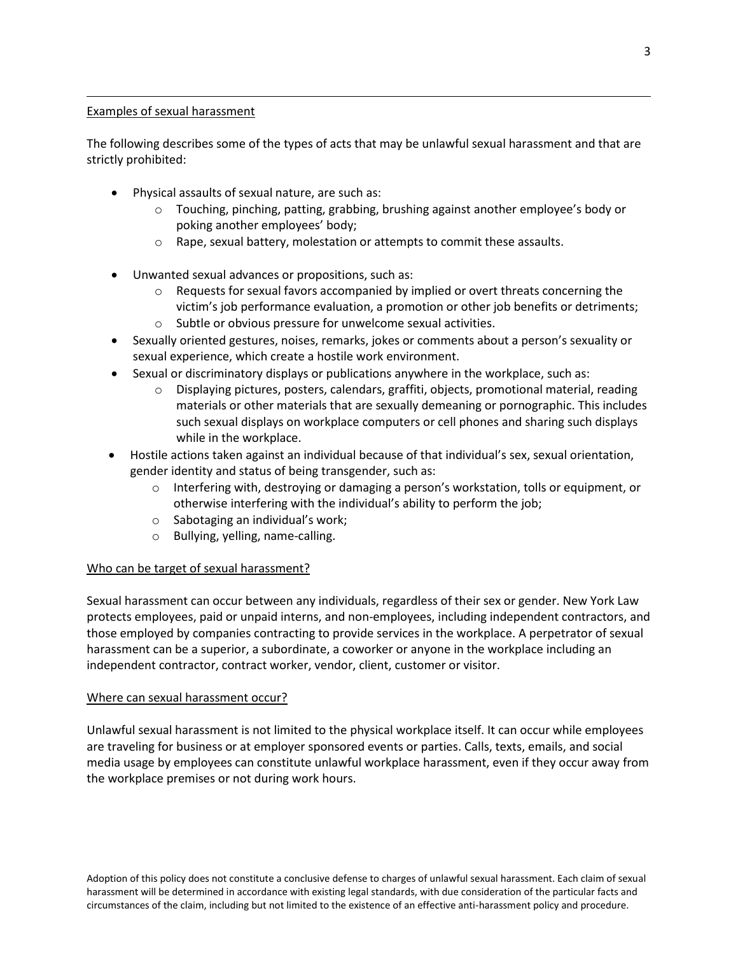#### Examples of sexual harassment

 $\overline{a}$ 

The following describes some of the types of acts that may be unlawful sexual harassment and that are strictly prohibited:

- Physical assaults of sexual nature, are such as:
	- o Touching, pinching, patting, grabbing, brushing against another employee's body or poking another employees' body;
	- $\circ$  Rape, sexual battery, molestation or attempts to commit these assaults.
- Unwanted sexual advances or propositions, such as:
	- $\circ$  Requests for sexual favors accompanied by implied or overt threats concerning the victim's job performance evaluation, a promotion or other job benefits or detriments;
	- o Subtle or obvious pressure for unwelcome sexual activities.
- Sexually oriented gestures, noises, remarks, jokes or comments about a person's sexuality or sexual experience, which create a hostile work environment.
- Sexual or discriminatory displays or publications anywhere in the workplace, such as:
	- $\circ$  Displaying pictures, posters, calendars, graffiti, objects, promotional material, reading materials or other materials that are sexually demeaning or pornographic. This includes such sexual displays on workplace computers or cell phones and sharing such displays while in the workplace.
- Hostile actions taken against an individual because of that individual's sex, sexual orientation, gender identity and status of being transgender, such as:
	- o Interfering with, destroying or damaging a person's workstation, tolls or equipment, or otherwise interfering with the individual's ability to perform the job;
	- o Sabotaging an individual's work;
	- o Bullying, yelling, name-calling.

### Who can be target of sexual harassment?

Sexual harassment can occur between any individuals, regardless of their sex or gender. New York Law protects employees, paid or unpaid interns, and non-employees, including independent contractors, and those employed by companies contracting to provide services in the workplace. A perpetrator of sexual harassment can be a superior, a subordinate, a coworker or anyone in the workplace including an independent contractor, contract worker, vendor, client, customer or visitor.

### Where can sexual harassment occur?

Unlawful sexual harassment is not limited to the physical workplace itself. It can occur while employees are traveling for business or at employer sponsored events or parties. Calls, texts, emails, and social media usage by employees can constitute unlawful workplace harassment, even if they occur away from the workplace premises or not during work hours.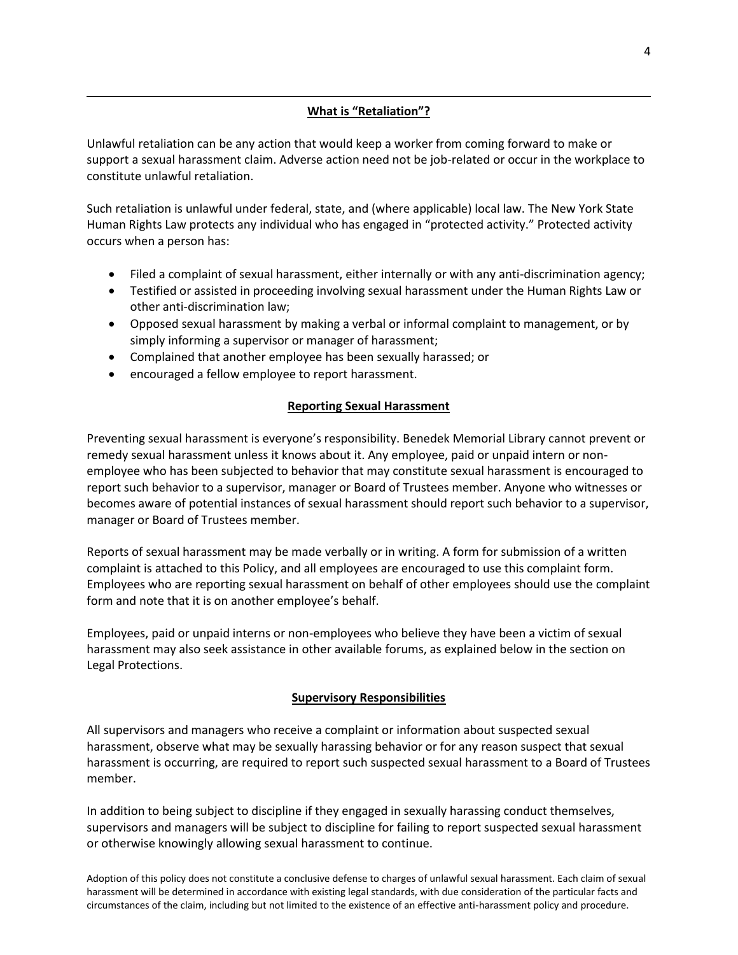## **What is "Retaliation"?**

Unlawful retaliation can be any action that would keep a worker from coming forward to make or support a sexual harassment claim. Adverse action need not be job-related or occur in the workplace to constitute unlawful retaliation.

Such retaliation is unlawful under federal, state, and (where applicable) local law. The New York State Human Rights Law protects any individual who has engaged in "protected activity." Protected activity occurs when a person has:

- Filed a complaint of sexual harassment, either internally or with any anti-discrimination agency;
- Testified or assisted in proceeding involving sexual harassment under the Human Rights Law or other anti-discrimination law;
- Opposed sexual harassment by making a verbal or informal complaint to management, or by simply informing a supervisor or manager of harassment;
- Complained that another employee has been sexually harassed; or
- encouraged a fellow employee to report harassment.

 $\overline{a}$ 

### **Reporting Sexual Harassment**

Preventing sexual harassment is everyone's responsibility. Benedek Memorial Library cannot prevent or remedy sexual harassment unless it knows about it. Any employee, paid or unpaid intern or nonemployee who has been subjected to behavior that may constitute sexual harassment is encouraged to report such behavior to a supervisor, manager or Board of Trustees member. Anyone who witnesses or becomes aware of potential instances of sexual harassment should report such behavior to a supervisor, manager or Board of Trustees member.

Reports of sexual harassment may be made verbally or in writing. A form for submission of a written complaint is attached to this Policy, and all employees are encouraged to use this complaint form. Employees who are reporting sexual harassment on behalf of other employees should use the complaint form and note that it is on another employee's behalf.

Employees, paid or unpaid interns or non-employees who believe they have been a victim of sexual harassment may also seek assistance in other available forums, as explained below in the section on Legal Protections.

### **Supervisory Responsibilities**

All supervisors and managers who receive a complaint or information about suspected sexual harassment, observe what may be sexually harassing behavior or for any reason suspect that sexual harassment is occurring, are required to report such suspected sexual harassment to a Board of Trustees member.

In addition to being subject to discipline if they engaged in sexually harassing conduct themselves, supervisors and managers will be subject to discipline for failing to report suspected sexual harassment or otherwise knowingly allowing sexual harassment to continue.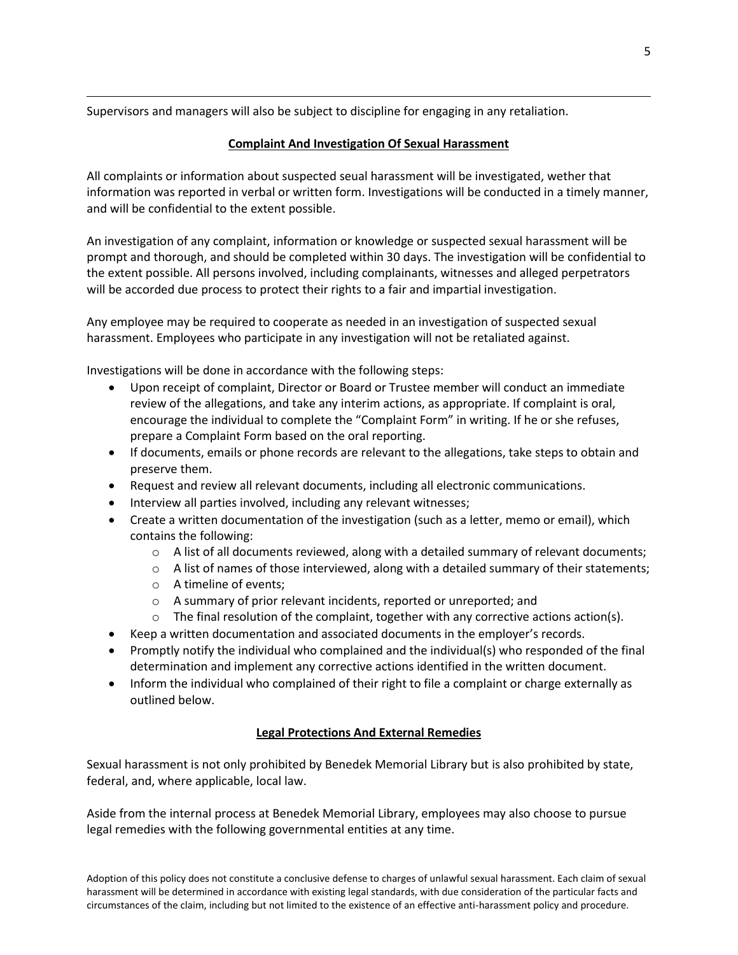Supervisors and managers will also be subject to discipline for engaging in any retaliation.

## **Complaint And Investigation Of Sexual Harassment**

All complaints or information about suspected seual harassment will be investigated, wether that information was reported in verbal or written form. Investigations will be conducted in a timely manner, and will be confidential to the extent possible.

An investigation of any complaint, information or knowledge or suspected sexual harassment will be prompt and thorough, and should be completed within 30 days. The investigation will be confidential to the extent possible. All persons involved, including complainants, witnesses and alleged perpetrators will be accorded due process to protect their rights to a fair and impartial investigation.

Any employee may be required to cooperate as needed in an investigation of suspected sexual harassment. Employees who participate in any investigation will not be retaliated against.

Investigations will be done in accordance with the following steps:

- Upon receipt of complaint, Director or Board or Trustee member will conduct an immediate review of the allegations, and take any interim actions, as appropriate. If complaint is oral, encourage the individual to complete the "Complaint Form" in writing. If he or she refuses, prepare a Complaint Form based on the oral reporting.
- If documents, emails or phone records are relevant to the allegations, take steps to obtain and preserve them.
- Request and review all relevant documents, including all electronic communications.
- Interview all parties involved, including any relevant witnesses;
- Create a written documentation of the investigation (such as a letter, memo or email), which contains the following:
	- $\circ$  A list of all documents reviewed, along with a detailed summary of relevant documents;
	- $\circ$  A list of names of those interviewed, along with a detailed summary of their statements;
	- o A timeline of events;

 $\overline{a}$ 

- o A summary of prior relevant incidents, reported or unreported; and
- $\circ$  The final resolution of the complaint, together with any corrective actions action(s).
- Keep a written documentation and associated documents in the employer's records.
- Promptly notify the individual who complained and the individual(s) who responded of the final determination and implement any corrective actions identified in the written document.
- Inform the individual who complained of their right to file a complaint or charge externally as outlined below.

# **Legal Protections And External Remedies**

Sexual harassment is not only prohibited by Benedek Memorial Library but is also prohibited by state, federal, and, where applicable, local law.

Aside from the internal process at Benedek Memorial Library, employees may also choose to pursue legal remedies with the following governmental entities at any time.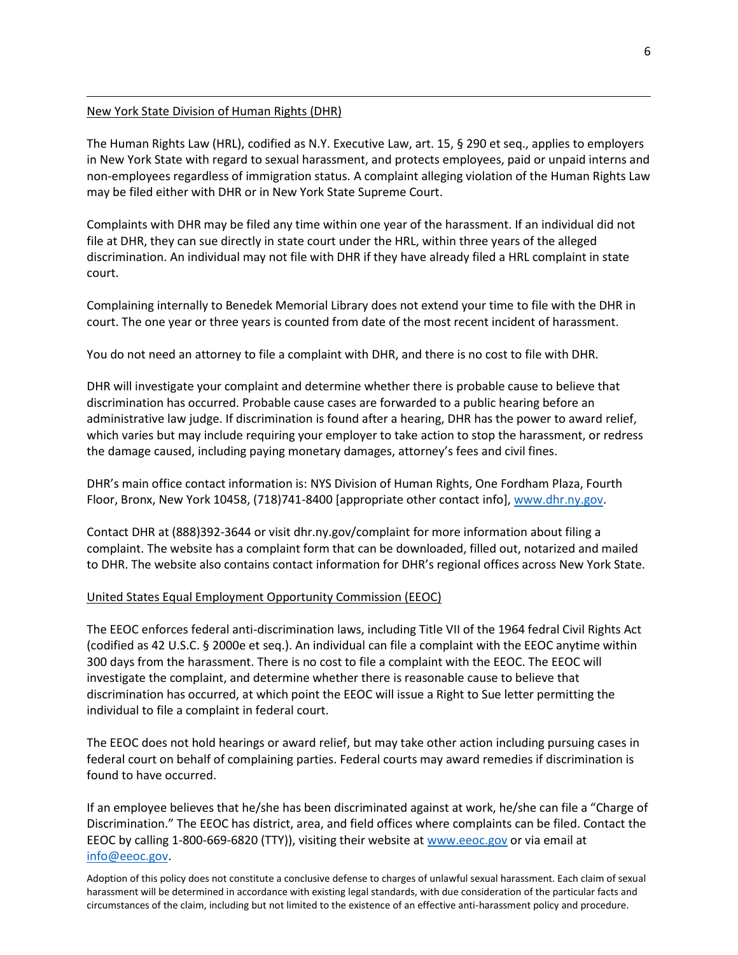#### New York State Division of Human Rights (DHR)

 $\overline{a}$ 

The Human Rights Law (HRL), codified as N.Y. Executive Law, art. 15, § 290 et seq., applies to employers in New York State with regard to sexual harassment, and protects employees, paid or unpaid interns and non-employees regardless of immigration status. A complaint alleging violation of the Human Rights Law may be filed either with DHR or in New York State Supreme Court.

Complaints with DHR may be filed any time within one year of the harassment. If an individual did not file at DHR, they can sue directly in state court under the HRL, within three years of the alleged discrimination. An individual may not file with DHR if they have already filed a HRL complaint in state court.

Complaining internally to Benedek Memorial Library does not extend your time to file with the DHR in court. The one year or three years is counted from date of the most recent incident of harassment.

You do not need an attorney to file a complaint with DHR, and there is no cost to file with DHR.

DHR will investigate your complaint and determine whether there is probable cause to believe that discrimination has occurred. Probable cause cases are forwarded to a public hearing before an administrative law judge. If discrimination is found after a hearing, DHR has the power to award relief, which varies but may include requiring your employer to take action to stop the harassment, or redress the damage caused, including paying monetary damages, attorney's fees and civil fines.

DHR's main office contact information is: NYS Division of Human Rights, One Fordham Plaza, Fourth Floor, Bronx, New York 10458, (718)741-8400 [appropriate other contact info][, www.dhr.ny.gov.](http://www.dhr.ny.gov/)

Contact DHR at (888)392-3644 or visit dhr.ny.gov/complaint for more information about filing a complaint. The website has a complaint form that can be downloaded, filled out, notarized and mailed to DHR. The website also contains contact information for DHR's regional offices across New York State.

### United States Equal Employment Opportunity Commission (EEOC)

The EEOC enforces federal anti-discrimination laws, including Title VII of the 1964 fedral Civil Rights Act (codified as 42 U.S.C. § 2000e et seq.). An individual can file a complaint with the EEOC anytime within 300 days from the harassment. There is no cost to file a complaint with the EEOC. The EEOC will investigate the complaint, and determine whether there is reasonable cause to believe that discrimination has occurred, at which point the EEOC will issue a Right to Sue letter permitting the individual to file a complaint in federal court.

The EEOC does not hold hearings or award relief, but may take other action including pursuing cases in federal court on behalf of complaining parties. Federal courts may award remedies if discrimination is found to have occurred.

If an employee believes that he/she has been discriminated against at work, he/she can file a "Charge of Discrimination." The EEOC has district, area, and field offices where complaints can be filed. Contact the EEOC by calling 1-800-669-6820 (TTY)), visiting their website a[t www.eeoc.gov](http://www.eeoc.gov/) or via email at [info@eeoc.gov.](mailto:info@eeoc.gov)